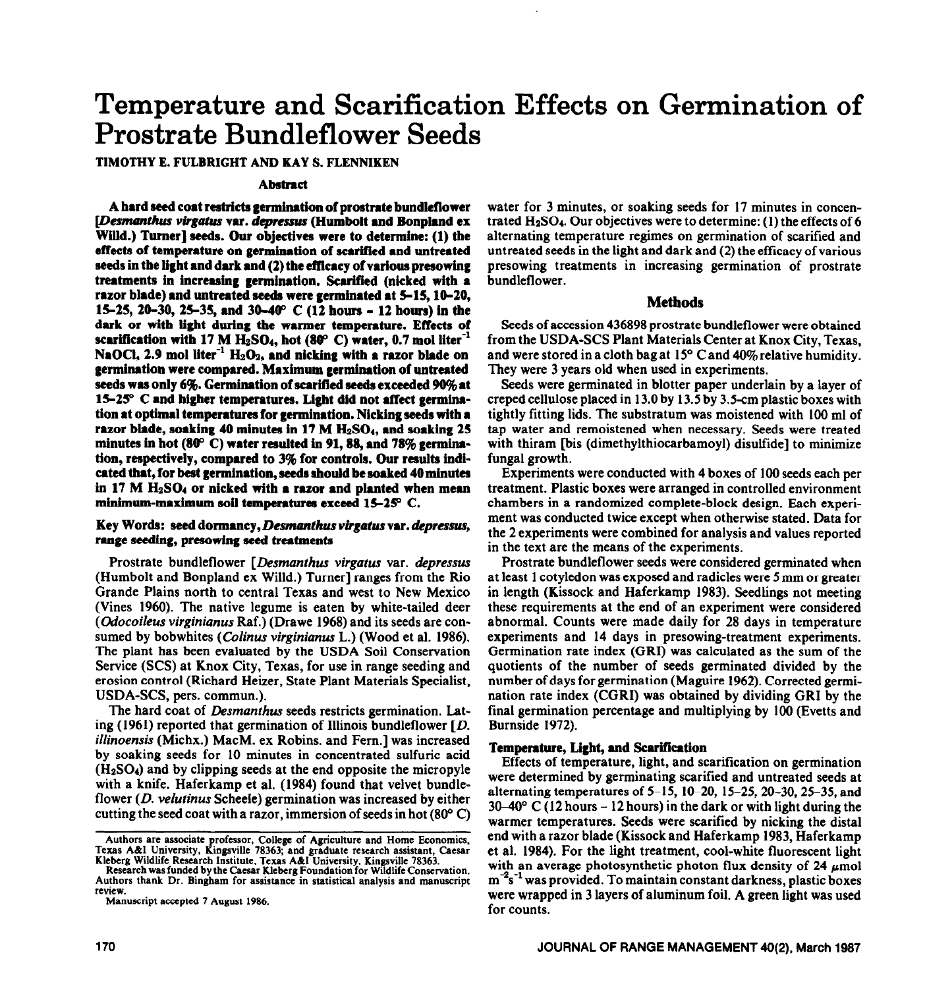# **Temperature and Scarification Effects on Germination of Prostrate Bundleflower Seeds**

TIMOTHY E. FULBRIGHT AND KAY S. FLENNIKEN

#### **Abstract**

**A hard seed coat restricts germination of prostrate bundlefiower**  [Desmanthus virgatus var. depressus (Humbolt and Bonpland ex Willd.) Turner] seeds. Our objectives were to determine: (1) the **effects of temperature on germination of scarified and untreated seeds in the light and dark and (2) the efficacy of various presowing treatments in increasing germination. Scarified (nicked with a razor blade) and untreated seeds were germinated at S-15,10-20, 15-25,20\_30,2s35, and 39-49' C (12 hours - 12 hours) in the dark or with light during the warmer temperature. Effects of**  scarification with 17 M  $H_2SO_4$ , hot (80 $^{\circ}$  C) water, 0.7 mol liter<sup>-1</sup> NaOCl, 2.9 mol liter<sup>-1</sup>  $H_2O_2$ , and nicking with a razor blade on **germination were compared. Maximum germination of untreated seeds was only 696. Germination of scarified seeds exceeded 99% at 15-250 C and higher temperatures. Light did not affect germination at optimal temperatures for germination. Nicking seeds with a**  razor blade, soaking 40 minutes in 17 M H<sub>2</sub>SO<sub>4</sub>, and soaking 25 **minutes in hot (89' C) water resulted in 91,88, and 78% germination, respectively, compared to 3% for controls. Our results indicated that, for best germination, seeds should be soaked 40 minutes in 17 M &SO4 or nicked with a raxor and planted when mean**  minimum-maximum soil temperatures exceed 15-25° C.

## **Key Words: seed dormancy,** *Damanthus virgatus vu. dcpressus, range* **seeding, presowing seed treatments**

Prostrate bundleflower *[Desmanthus virgatus var. depressus* (Humbolt and Bonpland ex Willd.) Turner] ranges from the Rio Grande Plains north to central Texas and west to New Mexico (Vines 1960). The native legume is eaten by white-tailed deer *(Odocoileus virginianus* Raf.) (Drawe 1968) and its seeds are consumed by bobwhites *(Colinus virginianus* L.) (Wood et al. 1986). The plant has been evaluated by the USDA Soil Conservation Service (SCS) at Knox City, Texas, for use in range seeding and erosion control (Richard Heizer, State Plant Materials Specialist, USDA-SCS, pers. commun.).

The hard coat of *Desmanthus* seeds restricts germination. Lating (1961) reported that germination of Illinois bundleflower  $[D]$ . *illinoensis* (Michx.) MacM. ex Robins. and Fern.] was increased by soaking seeds for 10 minutes in concentrated sulfuric acid  $(H<sub>2</sub>SO<sub>4</sub>)$  and by clipping seeds at the end opposite the micropyle with a knife. Haferkamp et al. (1984) found that velvet bundleflower (D. *velutinus* Scheele) germination was increased by either cutting the seed coat with a razor, immersion of seeds in hot  $(80^{\circ} \text{ C})$ 

alternating temperature regimes on germination of scarified and untreated seeds in the light and dark and (2) the efficacy of various presowing treatments in increasing germination of prostrate bundleflower. **Methods** 

Seeds of accession 436898 prostrate bundleflower were obtained from the USDA-SCS Plant Materials Center at Knox City, Texas, and were stored in a cloth bag at  $15^{\circ}$  C and 40% relative humidity. They were 3 years old when used in experiments.

water for 3 minutes, or soaking seeds for 17 minutes in concentrated  $H<sub>2</sub>SO<sub>4</sub>$ . Our objectives were to determine: (1) the effects of 6

Seeds were germinated in blotter paper underlain by a layer of creped cellulose placed in 13.0 by 13.5 by 3.5-cm plastic boxes with tightly fitting lids. The substratum was moistened with 100 ml of tap water and remoistened when necessary. Seeds were treated with thiram [bis (dimethylthiocarbamoyl) disulfide] to minimize fungal growth.

Experiments were conducted with 4 boxes of 100 seeds each per treatment. Plastic boxes were arranged in controlled environment chambers in a randomized complete-block design. Each experiment was conducted twice except when otherwise stated. Data for the 2 experiments were combined for analysis and values reported in the text are the means of the experiments.

Prostrate bundleflower seeds were considered germinated when at least 1 cotyledon was exposed and radicles were 5 mm or greater in length (Kissock and Haferkamp 1983). Seedlings not meeting these requirements at the end of an experiment were considered abnormal. Counts were made daily for 28 days in temperature experiments and 14 days in presowing-treatment experiments. Germination rate index (GRI) was calculated as the sum of the quotients of the number of seeds germinated divided by the number of days for germination (Maguire 1962). Corrected germination rate index (CGRI) was obtained by dividing GRI by the final germination percentage and multiplying by 100 (Evetts and Burnside 1972).

# **Temperature, Light, and Scarification**

Effects of temperature, light, and scarification on germination were determined by germinating scarified and untreated seeds at alternating temperatures of  $5-15$ ,  $10-20$ ,  $15-25$ ,  $20-30$ ,  $25-35$ , and  $30-40^{\circ}$  C (12 hours – 12 hours) in the dark or with light during the warmer temperatures. Seeds were scarified by nicking the distal end with a razor blade (Kissock and Haferkamp 1983, Haferkamp et al. 1984). For the light treatment, cool-white fluorescent light with an average photosynthetic photon flux density of  $24 \mu$ mol  $m<sup>-2</sup>s<sup>-1</sup>$  was provided. To maintain constant darkness, plastic boxes were wrapped in 3 layers of aluminum foil. A green light was used for counts.

Authors are associate professor, College of Agriculture and Home Economics, Texas A&I University, Kingsville 78363; and graduate research assistant, Caesar<br>Texas A&I University, Kingsville 78363; and graduate research assi

**Research was funded by the Caesar Kleberg Foundation for Wildlife Conservation. Authors thank Dr. Bingham for assistance in statistical analysis and manuscript review.** 

**Manuscript accepted 7 August 1986.**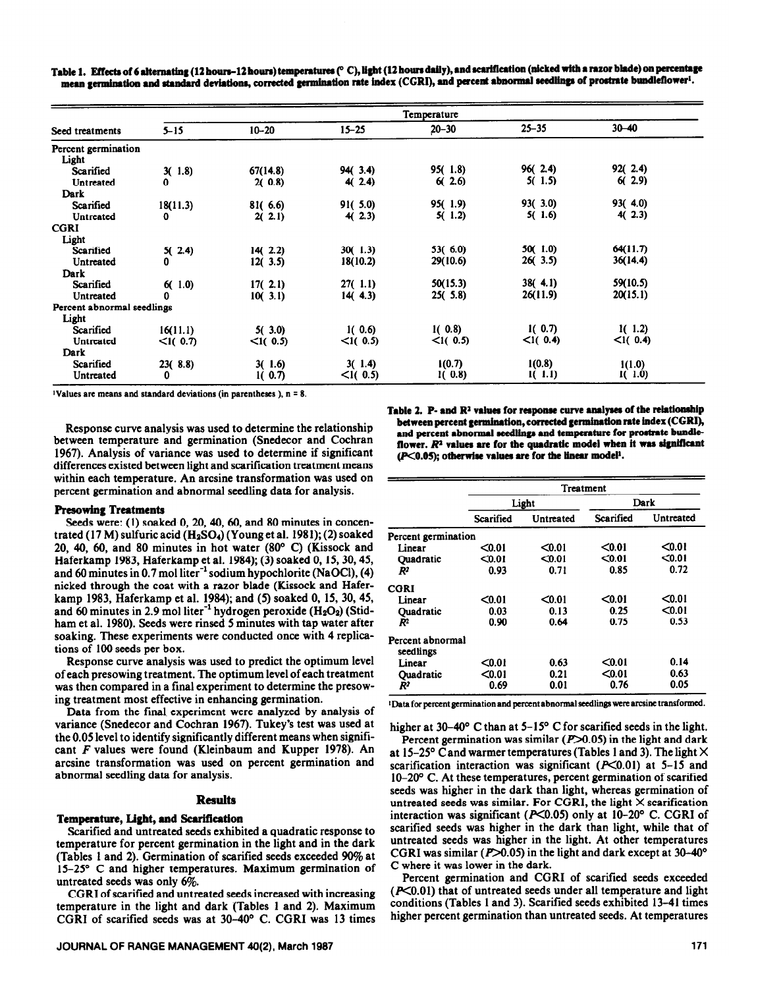Table 1. Effects of 6 alternating (12 hours–12 hours) temperatures (° C), light (12 hours daily), and scarification (nicked with a razor blade) on percentage mean germination and standard deviations, corrected germination rate index (CGRI), and percent abnormal seedlings of prostrate bundleflower<sup>1</sup>.

|                            |             | Temperature |             |           |           |           |  |
|----------------------------|-------------|-------------|-------------|-----------|-----------|-----------|--|
| Seed treatments            | $5 - 15$    | $10 - 20$   | $15 - 25$   | $20 - 30$ | $25 - 35$ | $30 - 40$ |  |
| Percent germination        |             |             |             |           |           |           |  |
| Light                      |             |             |             |           |           |           |  |
| Scarified                  | 3(1.8)      | 67(14.8)    | 94(3.4)     | 95(1.8)   | 96(2.4)   | 92(2.4)   |  |
| Untreated                  | 0           | 2(0.8)      | 4(2.4)      | 6(2.6)    | 5(1.5)    | 6(2.9)    |  |
| Dark                       |             |             |             |           |           |           |  |
| Scarified                  | 18(11.3)    | 81(6.6)     | 91(5.0)     | 95(1.9)   | 93(3.0)   | 93(4.0)   |  |
| Untreated                  | 0           | 2(2.1)      | 4(2.3)      | 5(1.2)    | 5(1.6)    | 4(2.3)    |  |
| CGRI                       |             |             |             |           |           |           |  |
|                            |             |             |             |           |           |           |  |
| Light                      |             |             |             |           |           | 64(11.7)  |  |
| Scarified                  | 5(2.4)      | 14(2.2)     | 30(1.3)     | 53(6.0)   | 50(1.0)   |           |  |
| Untreated                  | 0           | 12(3.5)     | 18(10.2)    | 29(10.6)  | 26(3.5)   | 36(14.4)  |  |
| Dark                       |             |             |             |           |           |           |  |
| Scarified                  | 6(1.0)      | 17(2.1)     | 27(1.1)     | 50(15.3)  | 38(4.1)   | 59(10.5)  |  |
| Untreated                  | 0           | 10(3.1)     | 14(4.3)     | 25(5.8)   | 26(11.9)  | 20(15.1)  |  |
| Percent abnormal seedlings |             |             |             |           |           |           |  |
| Light                      |             |             |             |           |           |           |  |
| Scarified                  | 16(11.1)    | 5(3.0)      | 1(0.6)      | 1(0.8)    | 1(0.7)    | 1(1.2)    |  |
| Untreated                  | $<$ I( 0.7) | $<$ 1( 0.5) | <1(0.5)     | <1(0.5)   | <1(0.4)   | <1(0.4)   |  |
| Dark                       |             |             |             |           |           |           |  |
|                            |             |             |             |           |           |           |  |
| Scarified                  | 23(8.8)     | 3(1.6)      | 3(1.4)      | 1(0.7)    | 1(0.8)    | 1(1.0)    |  |
| Untreated                  | 0           | 1(0.7)      | $< I($ 0.5) | 1(0.8)    | 1(1.1)    | 1(1.0)    |  |

**~Values arc means and standard deviations (in parentheses ), n = 8.** 

Response curve analysis was used to determine the relationship between temperature and germination (Snedecor and Cochran 1967). Analysis of variance was used to determine if significant differences existed between light and scarification treatment means within each temperature. An arcsine transformation was used on percent germination and abnormal seedling data for analysis.

# Table 2. P- and R<sup>2</sup> values for response curve analyses of the relationship between percent germination, corrected germination rate index (CGRI), and percent abnormal seedlings and temperature for prostrate bundleflower.  $R<sup>2</sup>$  values are for the quadratic model when it was significant *(P*<0.05); otherwise values are for the linear model<sup>1</sup>.

#### Resowing **Treatments**

Seeds were: (1) soaked 0, 20, 40, 60, and 80 minutes in concentrated (17 M) sulfuric acid  $(H_2SO_4)$  (Young et al. 1981); (2) soaked 20, 40, 60, and 80 minutes in hot water  $(80^{\circ}$  C) (Kissock and Haferkamp 1983, Haferkamp et al. 1984); (3) soaked 0, 15,30,45, and 60 minutes in 0.7 mol liter $^{-1}$  sodium hypochlorite (NaOCl), (4) nicked through the coat with a razor blade (Kissock and Haferkamp 1983, Haferkamp et al. 1984); and (5) soaked 0, 15, 30,45, and 60 minutes in 2.9 mol liter<sup>-1</sup> hydrogen peroxide  $(H_2O_2)$  (Stidham et al. 1980). Seeds were rinsed 5 minutes with tap water after soaking. These experiments were conducted once with 4 replications of 100 seeds per box.

Response curve analysis was used to predict the optimum level of each presowing treatment. The optimum level of each treatment was then compared in a final experiment to determine the presowing treatment most effective in enhancing germination.

Data from the final experiment were analyzed by analysis of variance (Snedecor and Cochran 1967). Tukey's test was used at the 0.05 level to identify significantly different means when significant *F* values were found (Kleinbaum and Kupper 1978). An arcsine transformation was used on percent germination and abnormal seedling data for analysis.

#### **Results**

# **Temperature, Light, and Scarification**

Scarified and untreated seeds exhibited a quadratic response to temperature for percent germination in the light and in the dark (Tables 1 and 2). Germination of scarified seeds exceeded 90% at  $15-25^{\circ}$  C and higher temperatures. Maximum germination of untreated seeds was only 6%.

CGRI of scarified and untreated seeds increased with increasing temperature in the light and dark (Tables 1 and 2). Maximum CGRI of scarified seeds was at 30-40" C. CGRI was 13 times

# **JOURNAL OF RANGE MANAGEMENT 40(2), March 1987** 171 **171**

|                               | Treatment |           |           |           |  |
|-------------------------------|-----------|-----------|-----------|-----------|--|
|                               |           | Light     | Dark      |           |  |
|                               | Scarified | Untreated | Scarified | Untreated |  |
| Percent germination           |           |           |           |           |  |
| Linear                        | $0.01$    | $0.01$    | < 0.01    | $0.01$    |  |
| Quadratic                     | $0.01$    | $0.01$    | < 0.01    | $0.01$    |  |
| $R^2$                         | 0.93      | 0.71      | 0.85      | 0.72      |  |
| CGRI                          |           |           |           |           |  |
| Linear                        | $0.01$    | $0.01$    | $0.01$    | $0.01$    |  |
| Quadratic                     | 0.03      | 0.13      | 0.25      | $0.01$    |  |
| $\mathbb{R}^2$                | 0.90      | 0.64      | 0.75      | 0.53      |  |
| Percent abnormal<br>seedlings |           |           |           |           |  |
| Linear                        | $0.01$    | 0.63      | $0.01$    | 0.14      |  |
| <b>Ouadratic</b>              | $0.01$    | 0.21      | < 0.01    | 0.63      |  |
| R <sup>2</sup>                | 0.69      | 0.01      | 0.76      | 0.05      |  |

<sup>1</sup> Data for percent germination and percent abnormal seedlings were arcsine transformed.

**higher** at 30-40" C than at 5-15' C for scarified seeds in the light.

Percent germination was similar  $(P>0.05)$  in the light and dark at 15-25° C and warmer temperatures (Tables 1 and 3). The light  $\times$ scarification interaction was significant ( $P<0.01$ ) at 5-15 and lO-20° C. At these temperatures, percent germination of scarified seeds was higher in the dark than light, whereas germination of untreated seeds was similar. For CGRI, the light  $\times$  scarification interaction was significant ( $P<0.05$ ) only at 10-20° C. CGRI of scarified seeds was higher in the dark than light, while that of untreated seeds was higher in the light. At other temperatures CGRI was similar ( $P > 0.05$ ) in the light and dark except at 30-40 $^{\circ}$ C where it was lower in the dark.

Percent germination and CGRI of scarified seeds exceeded  $(K<sub>0.01</sub>)$  that of untreated seeds under all temperature and light conditions (Tables 1 and 3). Scarified seeds exhibited 13-41 times higher percent germination than untreated seeds. At temperatures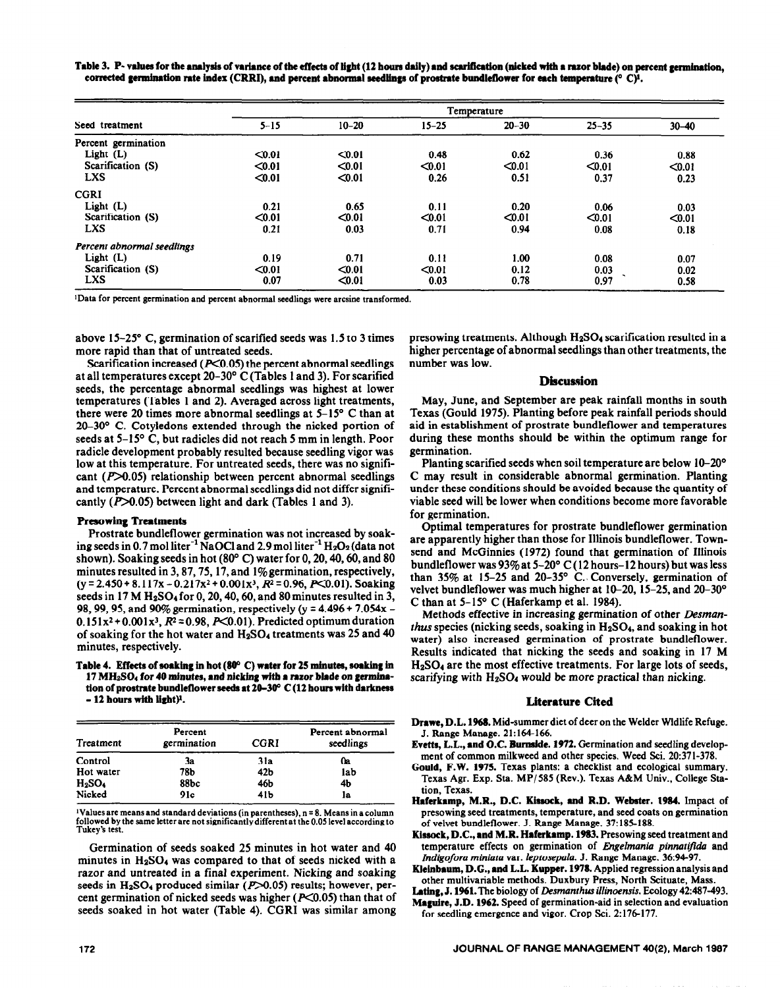Table 3. P- values for the analysis of variance of the effects of light (12 hours daily) and scarification (nicked with a razor blade) on percent germination, corrected germination rate index (CRRI), and percent abnormal seedlings of prostrate bundleflower for each temperature (° C)<sup>1</sup>.

|                            | Temperature |           |           |                   |                                  |           |
|----------------------------|-------------|-----------|-----------|-------------------|----------------------------------|-----------|
| Seed treatment             | $5 - 15$    | $10 - 20$ | $15 - 25$ | $20 - 30$         | $25 - 35$                        | $30 - 40$ |
| Percent germination        |             |           |           |                   |                                  |           |
| Light $(L)$                | $0.01$      | < 0.01    | 0.48      | 0.62              | 0.36                             | 0.88      |
| Scarification (S)          | $0.01$      | $0.01$    | $0.01$    | < 0.01            | < 0.01                           | $0.01$    |
| <b>LXS</b>                 | < 0.01      | < 0.01    | 0.26      | 0.51              | 0.37                             | 0.23      |
| <b>CGRI</b>                |             |           |           |                   |                                  |           |
| Light $(L)$                | 0.21        | 0.65      | 0.11      | 0.20              | 0.06                             | 0.03      |
| Scarification (S)          | < 0.01      | $0.01$    | < 0.01    | 10.0              | < 0.01                           | $0.01$    |
| <b>LXS</b>                 | 0.21        | 0.03      | 0.71      | 0.94              | 0.08                             | 0.18      |
| Percent abnormal seedlings |             |           |           |                   |                                  |           |
| Light (L)                  | 0.19        | 0.71      | 0.11      | 1.00 <sub>1</sub> | 0.08                             | 0.07      |
| Scarification (S)          | < 0.01      | < 0.01    | $0.01$    | 0.12              | 0.03                             | 0.02      |
| <b>LXS</b>                 | 0.07        | < 0.01    | 0.03      | 0.78              | $\overline{\phantom{a}}$<br>0.97 | 0.58      |

**'Data for percent** germination and percent abnormal seedlings were arcsine transformed.

above 15-2S" C, germination of scarified seeds was 1.5 to 3 times more rapid than that of untreated seeds.

Scarification increased ( $P<0.05$ ) the percent abnormal seedlings at all temperatures except 20-30° C (Tables 1 and 3). For scarified seeds, the percentage abnormal seedlings was highest at lower temperatures (Tables 1 and 2). Averaged across light treatments, there were 20 times more abnormal seedlings at S-15" C than at 20-30° C. Cotyledons extended through the nicked portion of seeds at 5-15' C, but radicles did not reach 5 mm in length. Poor radicle development probably resulted because seedling vigor was low at this temperature. For untreated seeds, there was no significant  $(P>0.05)$  relationship between percent abnormal seedlings and temperature. Percent abnormal seedlings did not differ significantly  $(P>0.05)$  between light and dark (Tables 1 and 3).

#### **Presowing Treatments**

Prostrate bundleflower germination was not increased by soaking seeds in 0.7 mol liter<sup>-1</sup> NaOCl and 2.9 mol liter<sup>-1</sup>  $H_2O_2$  (data not shown). Soaking seeds in hot  $(80^{\circ} \text{ C})$  water for 0, 20, 40, 60, and 80 minutes resulted in 3,87,75,17, and l%germination, respectively,  $(y = 2.450 + 8.117x - 0.217x^2 + 0.001x^3, R^2 = 0.96, P < 0.01$ . Soaking seeds in 17 M  $H<sub>2</sub>SO<sub>4</sub>$  for 0, 20, 40, 60, and 80 minutes resulted in 3, 98,99,95, and 90% germination, respectively (y = 4.496 + 7.054x -  $0.151x^2+0.001x^3$ ,  $R^2 = 0.98$ ,  $P<0.01$ ). Predicted optimum duration of soaking for the hot water and H2SG4 treatments was 25 and 40 minutes, respectively.

Table 4. Effects of soaking in hot (80°C) water for 25 minutes, soaking in 17 MH<sub>2</sub>SO<sub>4</sub> for 40 minutes, and nicking with a razor blade on germina**tion of prostrate bundleflower seeds et 28-39 C (12 hours with darkness - 12 bourn witb ligbty.** 

| Treatment | Percent<br>germination | <b>CGRI</b>     | Percent abnormal<br>seedlings |
|-----------|------------------------|-----------------|-------------------------------|
| Control   | 3a                     | 31a             | 0a                            |
| Hot water | 78Ъ                    | 42 <sub>b</sub> | lab                           |
| $H_2SO_4$ | 88bc                   | 46b             | 4b                            |
| Nicked    | 91c                    | 41b             | la                            |

<sup>1</sup>Values are means and standard deviations (in parentheses), n = 8. Means in a column **followed by the same** letter arc **not significantly different at the 0.05 level according to Tukcy's test.** 

Germination of seeds soaked 25 minutes in hot water and 40 minutes in  $H_2SO_4$  was compared to that of seeds nicked with a razor and untreated in a final experiment. Nicking and soaking seeds in  $H<sub>2</sub>SO<sub>4</sub>$  produced similar ( $P > 0.05$ ) results; however, percent germination of nicked seeds was higher ( $P<0.05$ ) than that of seeds soaked in hot water (Table 4). CGRI was similar among presowing treatments. Although H2SO4 scarification resulted in a higher percentage of abnormal seedlings than other treatments, the number was low.

#### **Discussion**

May, June, and September are peak rainfall months in south Texas (Gould 1975). Planting before peak rainfall periods should aid in establishment of prostrate bundleflower and temperatures during these months should be within the optimum range for germination.

Planting scarified seeds when soil temperature are below IO-20° C may result in considerable abnormal germination. Planting under these conditions should be avoided because the quantity of viable seed will be lower when conditions become more favorable for germination.

Optimal temperatures for prostrate bundleflower germination are apparently higher than those for Illinois bundleflower. Town**send and** McGinnies (1972) found that germination of Illinois bundleflower was 93% at 5-20" C (12 hours-12 hours) but was less than 35% at 15-25 and 20-35 $^{\circ}$  C. Conversely, germination of velvet bundleflower was much higher at 10-20, 15-25, and 20-30° C than at 5-15" C (Haferkamp et al. 1984).

Methods effective in increasing germination of other *Desmartthus* species (nicking seeds, soaking in H<sub>2</sub>SO<sub>4</sub>, and soaking in hot water) also increased germination of prostrate bundleflower. Results indicated that nicking the seeds and soaking in 17 M  $H<sub>2</sub>SO<sub>4</sub>$  are the most effective treatments. For large lots of seeds, scarifying with  $H_2SO_4$  would be more practical than nicking.

#### **Literature Cited**

Drawe, D.L. 1968. Mid-summer diet of deer on the Welder Wldlife Refuge. J. Range Manage. 21:164-166.

- **Evetts,** L.L., **and O.C. Burnelde. 1972.** Germination and seedling development of common milkweed and other species. Weed Sci. 20:371-378.
- **Gould, F.W. 1975.** Texas plants: a checklist and ecological summary. Texas Agr. Exp. Sta. MP/585 (Rev.). Texas A&M Univ., College Station, Texas.
- Haferkamp, M.R., D.C. Kissock, and R.D. Webster. 1984. Impact of **presowing seed treatments, temperature, and seed coats on germination of velvet bundleflower.** J. Range Manage. **37:185-188.**
- Kissock, D.C., and M.R. Haferkamp. 1983. Presowing seed treatment and temperature effects on germination of *Engebnania pinnattjida* and *Indigofora miniata* var. *leptosepala.* J. Range Manage. 36~94-97.

**Klelnbeum, D.G., end L.L. Kupper. 1978.** Applied regression analysis and other multivariable methods. Duxbury Press, North Scituate, Mass.

Lating, J. **l%l.The** biology of *Desmanthus illinoensis.* **Ecology** 42~487-493.

**Maguire, J.D. 1962.** Speed of germination-aid in selection and evaluation for seedling emergence and vigor. Crop Sci. 2:176177.